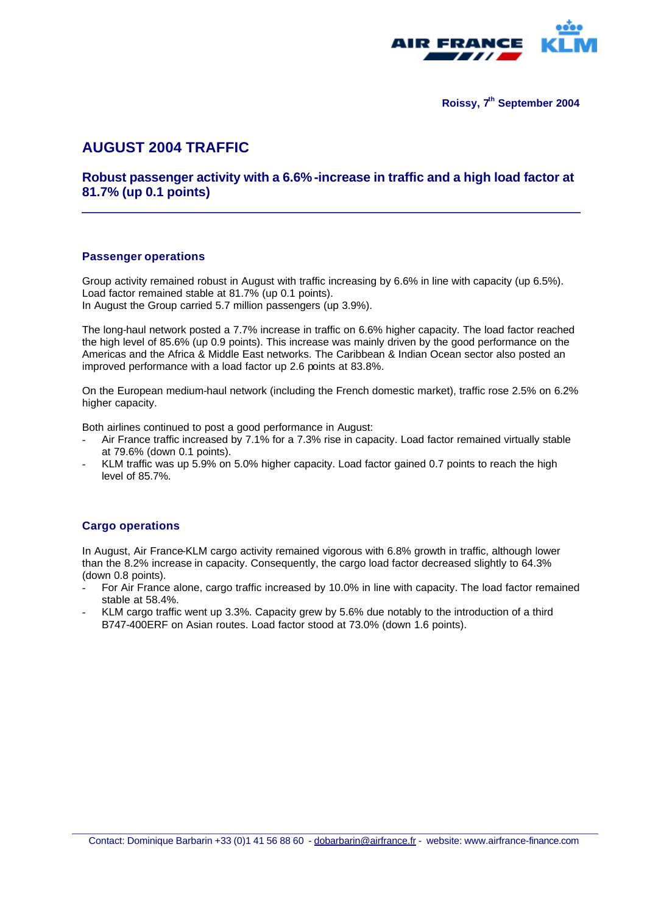

**Roissy, 7th September 2004**

# **AUGUST 2004 TRAFFIC**

### **Robust passenger activity with a 6.6% -increase in traffic and a high load factor at 81.7% (up 0.1 points)**

#### **Passenger operations**

Group activity remained robust in August with traffic increasing by 6.6% in line with capacity (up 6.5%). Load factor remained stable at 81.7% (up 0.1 points). In August the Group carried 5.7 million passengers (up 3.9%).

The long-haul network posted a 7.7% increase in traffic on 6.6% higher capacity. The load factor reached the high level of 85.6% (up 0.9 points). This increase was mainly driven by the good performance on the Americas and the Africa & Middle East networks. The Caribbean & Indian Ocean sector also posted an improved performance with a load factor up 2.6 points at 83.8%.

On the European medium-haul network (including the French domestic market), traffic rose 2.5% on 6.2% higher capacity.

Both airlines continued to post a good performance in August:

- Air France traffic increased by 7.1% for a 7.3% rise in capacity. Load factor remained virtually stable at 79.6% (down 0.1 points).
- KLM traffic was up 5.9% on 5.0% higher capacity. Load factor gained 0.7 points to reach the high level of 85.7%.

#### **Cargo operations**

In August, Air France-KLM cargo activity remained vigorous with 6.8% growth in traffic, although lower than the 8.2% increase in capacity. Consequently, the cargo load factor decreased slightly to 64.3% (down 0.8 points).

- For Air France alone, cargo traffic increased by 10.0% in line with capacity. The load factor remained stable at 58.4%.
- KLM cargo traffic went up 3.3%. Capacity grew by 5.6% due notably to the introduction of a third B747-400ERF on Asian routes. Load factor stood at 73.0% (down 1.6 points).